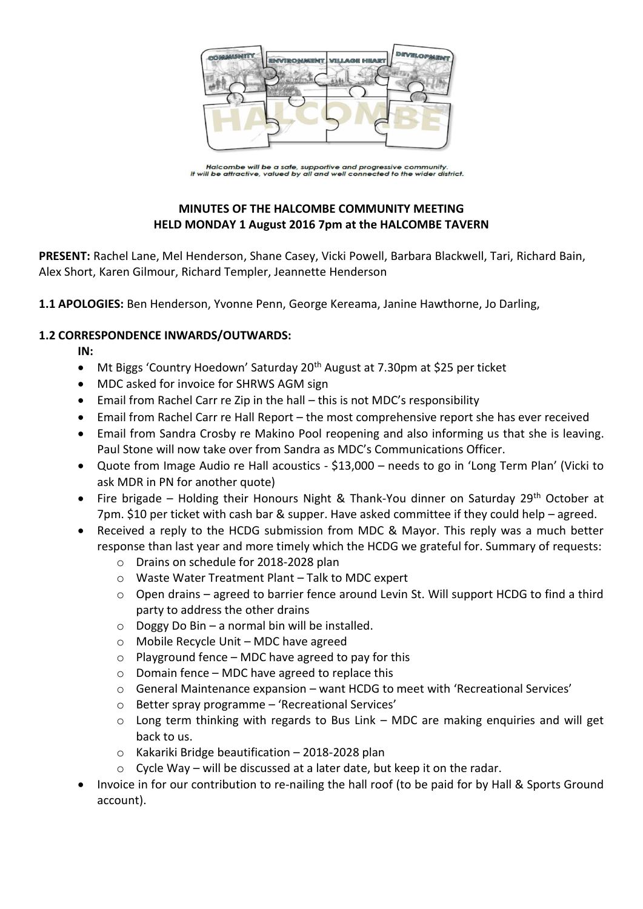

Halcombe will be a safe, supportive and progressive community.<br>It will be attractive, valued by all and well connected to the wider district.

# **MINUTES OF THE HALCOMBE COMMUNITY MEETING HELD MONDAY 1 August 2016 7pm at the HALCOMBE TAVERN**

**PRESENT:** Rachel Lane, Mel Henderson, Shane Casey, Vicki Powell, Barbara Blackwell, Tari, Richard Bain, Alex Short, Karen Gilmour, Richard Templer, Jeannette Henderson

**1.1 APOLOGIES:** Ben Henderson, Yvonne Penn, George Kereama, Janine Hawthorne, Jo Darling,

## **1.2 CORRESPONDENCE INWARDS/OUTWARDS:**

**IN:** 

- Mt Biggs 'Country Hoedown' Saturday 20<sup>th</sup> August at 7.30pm at \$25 per ticket
- MDC asked for invoice for SHRWS AGM sign
- Email from Rachel Carr re Zip in the hall this is not MDC's responsibility
- Email from Rachel Carr re Hall Report the most comprehensive report she has ever received
- Email from Sandra Crosby re Makino Pool reopening and also informing us that she is leaving. Paul Stone will now take over from Sandra as MDC's Communications Officer.
- Quote from Image Audio re Hall acoustics \$13,000 needs to go in 'Long Term Plan' (Vicki to ask MDR in PN for another quote)
- Fire brigade Holding their Honours Night & Thank-You dinner on Saturday 29<sup>th</sup> October at 7pm. \$10 per ticket with cash bar & supper. Have asked committee if they could help – agreed.
- Received a reply to the HCDG submission from MDC & Mayor. This reply was a much better response than last year and more timely which the HCDG we grateful for. Summary of requests:
	- o Drains on schedule for 2018-2028 plan
	- o Waste Water Treatment Plant Talk to MDC expert
	- $\circ$  Open drains agreed to barrier fence around Levin St. Will support HCDG to find a third party to address the other drains
	- $\circ$  Doggy Do Bin a normal bin will be installed.
	- o Mobile Recycle Unit MDC have agreed
	- $\circ$  Playground fence MDC have agreed to pay for this
	- $\circ$  Domain fence MDC have agreed to replace this
	- o General Maintenance expansion want HCDG to meet with 'Recreational Services'
	- o Better spray programme 'Recreational Services'
	- o Long term thinking with regards to Bus Link MDC are making enquiries and will get back to us.
	- $\circ$  Kakariki Bridge beautification 2018-2028 plan
	- $\circ$  Cycle Way will be discussed at a later date, but keep it on the radar.
- Invoice in for our contribution to re-nailing the hall roof (to be paid for by Hall & Sports Ground account).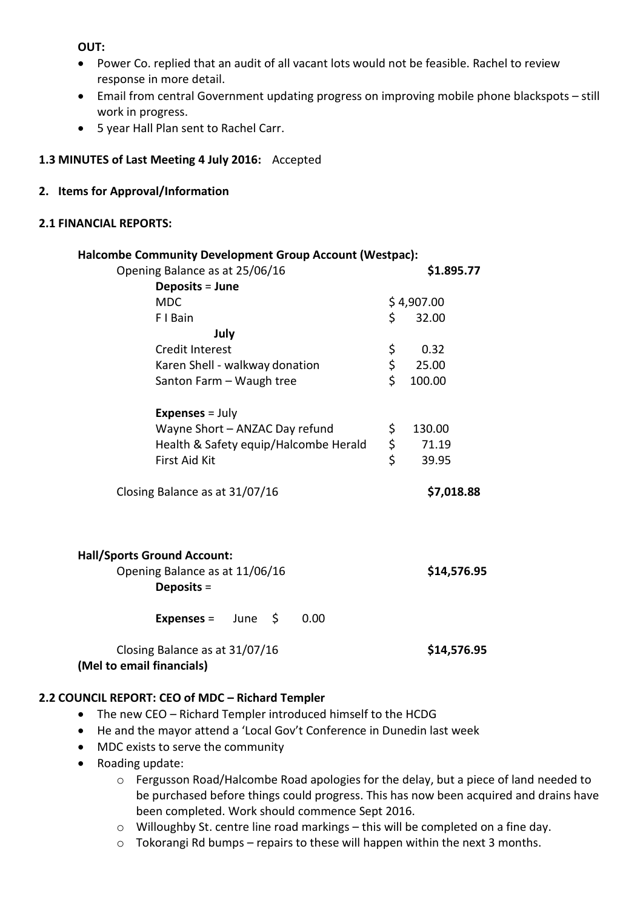**OUT:**

- Power Co. replied that an audit of all vacant lots would not be feasible. Rachel to review response in more detail.
- Email from central Government updating progress on improving mobile phone blackspots still work in progress.
- 5 year Hall Plan sent to Rachel Carr.

# **1.3 MINUTES of Last Meeting 4 July 2016:** Accepted

## **2. Items for Approval/Information**

## **2.1 FINANCIAL REPORTS:**

| Halcombe Community Development Group Account (Westpac):                              |          |             |
|--------------------------------------------------------------------------------------|----------|-------------|
| Opening Balance as at 25/06/16                                                       |          | \$1.895.77  |
| Deposits = June                                                                      |          |             |
| <b>MDC</b>                                                                           |          | \$4,907.00  |
| F I Bain                                                                             | \$       | 32.00       |
| July                                                                                 |          |             |
| <b>Credit Interest</b>                                                               | \$       | 0.32        |
| Karen Shell - walkway donation                                                       | \$       | 25.00       |
| Santon Farm - Waugh tree                                                             | \$       | 100.00      |
| <b>Expenses</b> = $July$                                                             |          |             |
| Wayne Short - ANZAC Day refund                                                       | \$       | 130.00      |
| Health & Safety equip/Halcombe Herald                                                |          | 71.19       |
| <b>First Aid Kit</b>                                                                 | \$<br>\$ | 39.95       |
| Closing Balance as at 31/07/16                                                       |          | \$7,018.88  |
| <b>Hall/Sports Ground Account:</b><br>Opening Balance as at 11/06/16<br>Deposits $=$ |          | \$14,576.95 |
| $\ddot{\mathsf{S}}$<br>0.00<br><b>Expenses =</b><br>June                             |          |             |
| Closing Balance as at 31/07/16                                                       |          | \$14,576.95 |

**(Mel to email financials)**

## **2.2 COUNCIL REPORT: CEO of MDC – Richard Templer**

- The new CEO Richard Templer introduced himself to the HCDG
- He and the mayor attend a 'Local Gov't Conference in Dunedin last week
- MDC exists to serve the community
- Roading update:
	- o Fergusson Road/Halcombe Road apologies for the delay, but a piece of land needed to be purchased before things could progress. This has now been acquired and drains have been completed. Work should commence Sept 2016.
	- o Willoughby St. centre line road markings this will be completed on a fine day.
	- o Tokorangi Rd bumps repairs to these will happen within the next 3 months.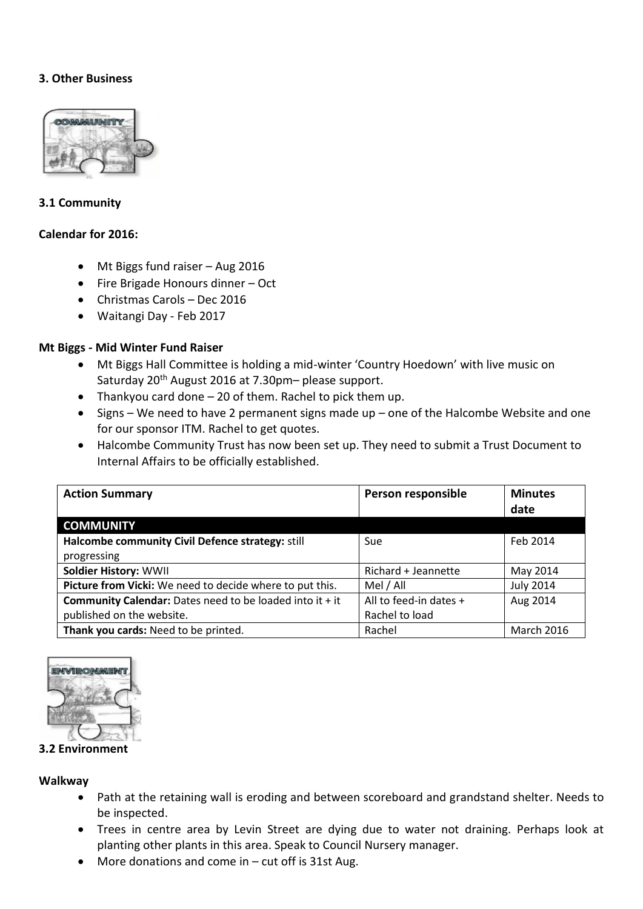## **3. Other Business**



### **3.1 Community**

### **Calendar for 2016:**

- Mt Biggs fund raiser Aug 2016
- Fire Brigade Honours dinner Oct
- Christmas Carols Dec 2016
- Waitangi Day Feb 2017

## **Mt Biggs - Mid Winter Fund Raiser**

- Mt Biggs Hall Committee is holding a mid-winter 'Country Hoedown' with live music on Saturday 20<sup>th</sup> August 2016 at 7.30pm- please support.
- Thankyou card done 20 of them. Rachel to pick them up.
- Signs We need to have 2 permanent signs made up one of the Halcombe Website and one for our sponsor ITM. Rachel to get quotes.
- Halcombe Community Trust has now been set up. They need to submit a Trust Document to Internal Affairs to be officially established.

| <b>Action Summary</b>                                             | Person responsible     | <b>Minutes</b>    |
|-------------------------------------------------------------------|------------------------|-------------------|
|                                                                   |                        | date              |
| <b>COMMUNITY</b>                                                  |                        |                   |
| Halcombe community Civil Defence strategy: still                  | Sue                    | Feb 2014          |
| progressing                                                       |                        |                   |
| <b>Soldier History: WWII</b>                                      | Richard + Jeannette    | May 2014          |
| Picture from Vicki: We need to decide where to put this.          | Mel / All              | <b>July 2014</b>  |
| <b>Community Calendar:</b> Dates need to be loaded into it $+$ it | All to feed-in dates + | Aug 2014          |
| published on the website.                                         | Rachel to load         |                   |
| Thank you cards: Need to be printed.                              | Rachel                 | <b>March 2016</b> |



#### **3.2 Environment**

**Walkway**

- Path at the retaining wall is eroding and between scoreboard and grandstand shelter. Needs to be inspected.
- Trees in centre area by Levin Street are dying due to water not draining. Perhaps look at planting other plants in this area. Speak to Council Nursery manager.
- More donations and come in cut off is 31st Aug.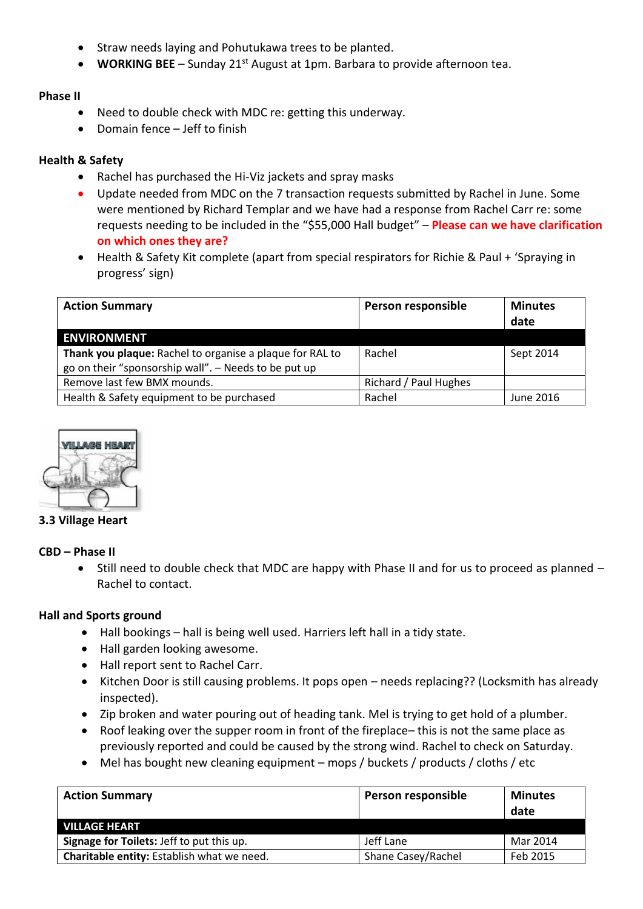- Straw needs laying and Pohutukawa trees to be planted.
- **WORKING BEE** Sunday 21<sup>st</sup> August at 1pm. Barbara to provide afternoon tea.

## **Phase II**

- Need to double check with MDC re: getting this underway.
- Domain fence Jeff to finish

## **Health & Safety**

- Rachel has purchased the Hi-Viz jackets and spray masks
- Update needed from MDC on the 7 transaction requests submitted by Rachel in June. Some were mentioned by Richard Templar and we have had a response from Rachel Carr re: some requests needing to be included in the "\$55,000 Hall budget" – **Please can we have clarification on which ones they are?**
- Health & Safety Kit complete (apart from special respirators for Richie & Paul + 'Spraying in progress' sign)

| <b>Action Summary</b>                                    | Person responsible    | <b>Minutes</b><br>date |
|----------------------------------------------------------|-----------------------|------------------------|
| <b>ENVIRONMENT</b>                                       |                       |                        |
| Thank you plaque: Rachel to organise a plaque for RAL to | Rachel                | Sept 2014              |
| go on their "sponsorship wall". - Needs to be put up     |                       |                        |
| Remove last few BMX mounds.                              | Richard / Paul Hughes |                        |
| Health & Safety equipment to be purchased                | Rachel                | June 2016              |



## **3.3 Village Heart**

## **CBD – Phase II**

• Still need to double check that MDC are happy with Phase II and for us to proceed as planned – Rachel to contact.

## **Hall and Sports ground**

- Hall bookings hall is being well used. Harriers left hall in a tidy state.
- Hall garden looking awesome.
- Hall report sent to Rachel Carr.
- Kitchen Door is still causing problems. It pops open needs replacing?? (Locksmith has already inspected).
- Zip broken and water pouring out of heading tank. Mel is trying to get hold of a plumber.
- Roof leaking over the supper room in front of the fireplace– this is not the same place as previously reported and could be caused by the strong wind. Rachel to check on Saturday.
- Mel has bought new cleaning equipment mops / buckets / products / cloths / etc

| <b>Action Summary</b>                      | Person responsible | <b>Minutes</b><br>date |
|--------------------------------------------|--------------------|------------------------|
| <b>VILLAGE HEART</b>                       |                    |                        |
| Signage for Toilets: Jeff to put this up.  | Jeff Lane          | Mar 2014               |
| Charitable entity: Establish what we need. | Shane Casey/Rachel | Feb 2015               |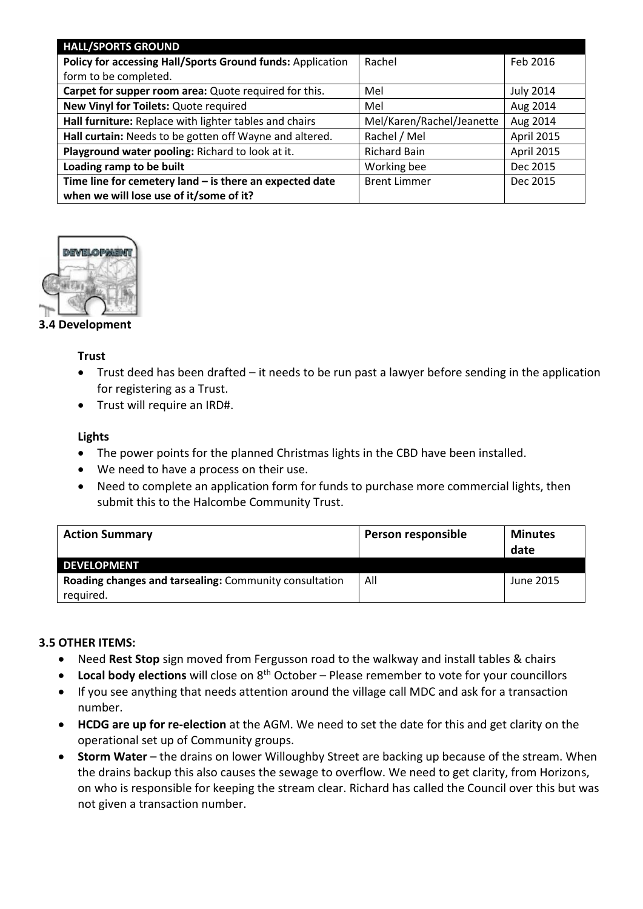| <b>HALL/SPORTS GROUND</b>                                  |                           |                  |
|------------------------------------------------------------|---------------------------|------------------|
| Policy for accessing Hall/Sports Ground funds: Application | Rachel                    | Feb 2016         |
| form to be completed.                                      |                           |                  |
| Carpet for supper room area: Quote required for this.      | Mel                       | <b>July 2014</b> |
| New Vinyl for Toilets: Quote required                      | Mel                       | Aug 2014         |
| Hall furniture: Replace with lighter tables and chairs     | Mel/Karen/Rachel/Jeanette | Aug 2014         |
| Hall curtain: Needs to be gotten off Wayne and altered.    | Rachel / Mel              | April 2015       |
| Playground water pooling: Richard to look at it.           | <b>Richard Bain</b>       | April 2015       |
| Loading ramp to be built                                   | Working bee               | Dec 2015         |
| Time line for cemetery land $-$ is there an expected date  | <b>Brent Limmer</b>       | Dec 2015         |
| when we will lose use of it/some of it?                    |                           |                  |



**3.4 Development**

## **Trust**

- Trust deed has been drafted it needs to be run past a lawyer before sending in the application for registering as a Trust.
- Trust will require an IRD#.

## **Lights**

- The power points for the planned Christmas lights in the CBD have been installed.
- We need to have a process on their use.
- Need to complete an application form for funds to purchase more commercial lights, then submit this to the Halcombe Community Trust.

| <b>Action Summary</b>                                  | Person responsible | <b>Minutes</b><br>date |
|--------------------------------------------------------|--------------------|------------------------|
| <b>DEVELOPMENT</b>                                     |                    |                        |
| Roading changes and tarsealing: Community consultation | All                | June 2015              |
| required.                                              |                    |                        |

## **3.5 OTHER ITEMS:**

- Need **Rest Stop** sign moved from Fergusson road to the walkway and install tables & chairs
- Local body elections will close on 8<sup>th</sup> October Please remember to vote for your councillors
- If you see anything that needs attention around the village call MDC and ask for a transaction number.
- **HCDG are up for re-election** at the AGM. We need to set the date for this and get clarity on the operational set up of Community groups.
- **Storm Water** the drains on lower Willoughby Street are backing up because of the stream. When the drains backup this also causes the sewage to overflow. We need to get clarity, from Horizons, on who is responsible for keeping the stream clear. Richard has called the Council over this but was not given a transaction number.